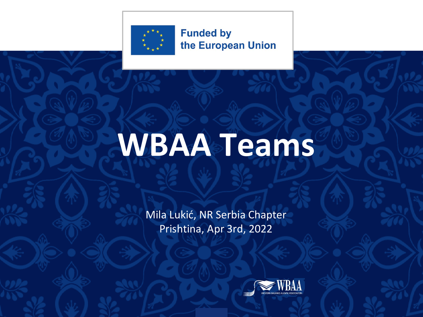

## **WBAA Teams**

Mila Lukić, NR Serbia Chapter Prishtina, Apr 3rd, 2022

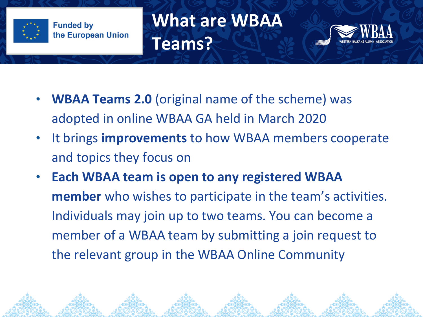

**What are WBAA Teams?**



- **WBAA Teams 2.0** (original name of the scheme) was adopted in online WBAA GA held in March 2020
- It brings **improvements** to how WBAA members cooperate and topics they focus on
- **Each WBAA team is open to any registered WBAA member** who wishes to participate in the team's activities. Individuals may join up to two teams. You can become a member of a WBAA team by submitting a join request to the relevant group in the WBAA Online Community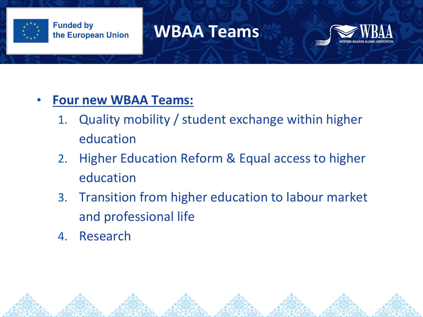

### **WBAA Teams**



#### • **Four new WBAA Teams:**

- 1. Quality mobility / student exchange within higher education
- 2. Higher Education Reform & Equal access to higher education
- 3. Transition from higher education to labour market and professional life
- 4. Research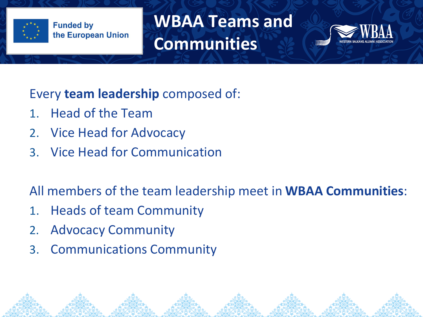

**WBAA Teams and Communities**



Every **team leadership** composed of:

- 1. Head of the Team
- 2. Vice Head for Advocacy
- 3. Vice Head for Communication

All members of the team leadership meet in **WBAA Communities**:

- 1. Heads of team Community
- 2. Advocacy Community
- 3. Communications Community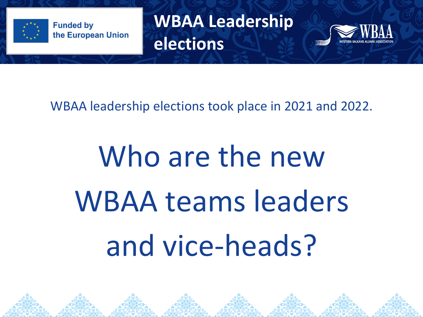

**WBAA Leadership elections**



WBAA leadership elections took place in 2021 and 2022.

# Who are the new WBAA teams leaders and vice-heads?